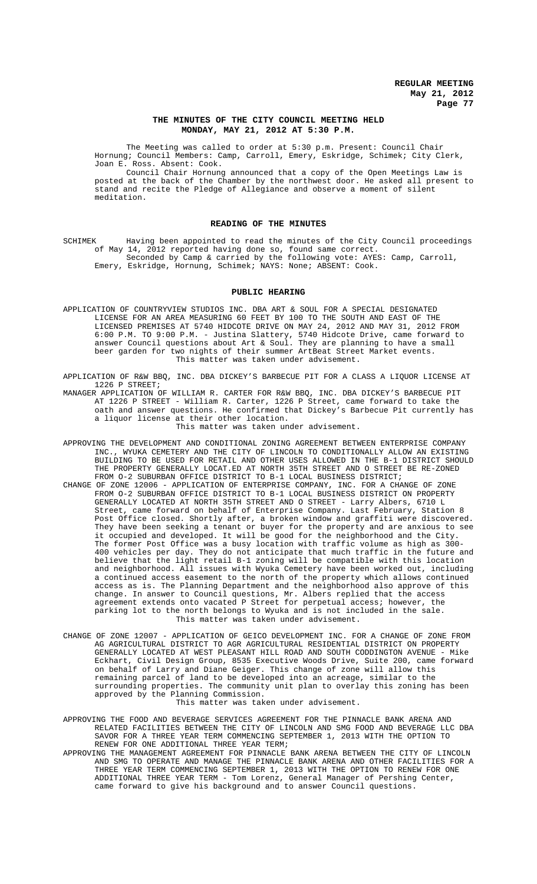### **THE MINUTES OF THE CITY COUNCIL MEETING HELD MONDAY, MAY 21, 2012 AT 5:30 P.M.**

The Meeting was called to order at 5:30 p.m. Present: Council Chair Hornung; Council Members: Camp, Carroll, Emery, Eskridge, Schimek; City Clerk, Joan E. Ross. Absent: Cook.

Council Chair Hornung announced that a copy of the Open Meetings Law is posted at the back of the Chamber by the northwest door. He asked all present to stand and recite the Pledge of Allegiance and observe a moment of silent meditation.

### **READING OF THE MINUTES**

SCHIMEK Having been appointed to read the minutes of the City Council proceedings of May 14, 2012 reported having done so, found same correct. Seconded by Camp & carried by the following vote: AYES: Camp, Carroll, Emery, Eskridge, Hornung, Schimek; NAYS: None; ABSENT: Cook.

### **PUBLIC HEARING**

APPLICATION OF COUNTRYVIEW STUDIOS INC. DBA ART & SOUL FOR A SPECIAL DESIGNATED LICENSE FOR AN AREA MEASURING 60 FEET BY 100 TO THE SOUTH AND EAST OF THE LICENSED PREMISES AT 5740 HIDCOTE DRIVE ON MAY 24, 2012 AND MAY 31, 2012 FROM 6:00 P.M. TO 9:00 P.M. - Justina Slattery, 5740 Hidcote Drive, came forward to answer Council questions about Art & Soul. They are planning to have a small beer garden for two nights of their summer ArtBeat Street Market events. This matter was taken under advisement.

APPLICATION OF R&W BBQ, INC. DBA DICKEY'S BARBECUE PIT FOR A CLASS A LIQUOR LICENSE AT 1226 P STREET;

MANAGER APPLICATION OF WILLIAM R. CARTER FOR R&W BBQ, INC. DBA DICKEY'S BARBECUE PIT AT 1226 P STREET - William R. Carter, 1226 P Street, came forward to take the oath and answer questions. He confirmed that Dickey's Barbecue Pit currently has a liquor license at their other location. This matter was taken under advisement.

- APPROVING THE DEVELOPMENT AND CONDITIONAL ZONING AGREEMENT BETWEEN ENTERPRISE COMPANY INC., WYUKA CEMETERY AND THE CITY OF LINCOLN TO CONDITIONALLY ALLOW AN EXISTING BUILDING TO BE USED FOR RETAIL AND OTHER USES ALLOWED IN THE B-1 DISTRICT SHOULD THE PROPERTY GENERALLY LOCAT.ED AT NORTH 35TH STREET AND O STREET BE RE-ZONED FROM O-2 SUBURBAN OFFICE DISTRICT TO B-1 LOCAL BUSINESS DISTRICT;
- CHANGE OF ZONE 12006 APPLICATION OF ENTERPRISE COMPANY, INC. FOR A CHANGE OF ZONE FROM O-2 SUBURBAN OFFICE DISTRICT TO B-1 LOCAL BUSINESS DISTRICT ON PROPERTY GENERALLY LOCATED AT NORTH 35TH STREET AND O STREET - Larry Albers, 6710 L Street, came forward on behalf of Enterprise Company. Last February, Station 8 Post Office closed. Shortly after, a broken window and graffiti were discovered. They have been seeking a tenant or buyer for the property and are anxious to see it occupied and developed. It will be good for the neighborhood and the City. The former Post Office was a busy location with traffic volume as high as 300- 400 vehicles per day. They do not anticipate that much traffic in the future and believe that the light retail B-1 zoning will be compatible with this location and neighborhood. All issues with Wyuka Cemetery have been worked out, including a continued access easement to the north of the property which allows continued access as is. The Planning Department and the neighborhood also approve of this change. In answer to Council questions, Mr. Albers replied that the access agreement extends onto vacated P Street for perpetual access; however, the parking lot to the north belongs to Wyuka and is not included in the sale. This matter was taken under advisement.
- CHANGE OF ZONE 12007 APPLICATION OF GEICO DEVELOPMENT INC. FOR A CHANGE OF ZONE FROM AG AGRICULTURAL DISTRICT TO AGR AGRICULTURAL RESIDENTIAL DISTRICT ON PROPERTY GENERALLY LOCATED AT WEST PLEASANT HILL ROAD AND SOUTH CODDINGTON AVENUE - Mike Eckhart, Civil Design Group, 8535 Executive Woods Drive, Suite 200, came forward on behalf of Larry and Diane Geiger. This change of zone will allow this remaining parcel of land to be developed into an acreage, similar to the surrounding properties. The community unit plan to overlay this zoning has been approved by the Planning Commission. This matter was taken under advisement.

APPROVING THE FOOD AND BEVERAGE SERVICES AGREEMENT FOR THE PINNACLE BANK ARENA AND RELATED FACILITIES BETWEEN THE CITY OF LINCOLN AND SMG FOOD AND BEVERAGE LLC DBA SAVOR FOR A THREE YEAR TERM COMMENCING SEPTEMBER 1, 2013 WITH THE OPTION TO RENEW FOR ONE ADDITIONAL THREE YEAR TERM;

APPROVING THE MANAGEMENT AGREEMENT FOR PINNACLE BANK ARENA BETWEEN THE CITY OF LINCOLN AND SMG TO OPERATE AND MANAGE THE PINNACLE BANK ARENA AND OTHER FACILITIES FOR A THREE YEAR TERM COMMENCING SEPTEMBER 1, 2013 WITH THE OPTION TO RENEW FOR ONE ADDITIONAL THREE YEAR TERM - Tom Lorenz, General Manager of Pershing Center, came forward to give his background and to answer Council questions.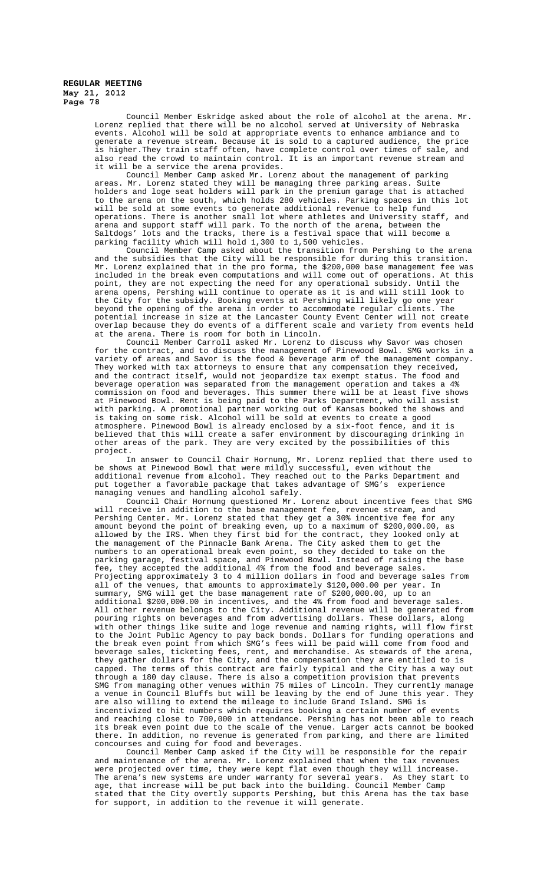> Council Member Eskridge asked about the role of alcohol at the arena. Mr. Lorenz replied that there will be no alcohol served at University of Nebraska events. Alcohol will be sold at appropriate events to enhance ambiance and to generate a revenue stream. Because it is sold to a captured audience, the price is higher.They train staff often, have complete control over times of sale, and also read the crowd to maintain control. It is an important revenue stream and it will be a service the arena provides.

> Council Member Camp asked Mr. Lorenz about the management of parking areas. Mr. Lorenz stated they will be managing three parking areas. Suite holders and loge seat holders will park in the premium garage that is attached to the arena on the south, which holds 280 vehicles. Parking spaces in this lot will be sold at some events to generate additional revenue to help fund operations. There is another small lot where athletes and University staff, and arena and support staff will park. To the north of the arena, between the Saltdogs' lots and the tracks, there is a festival space that will become a parking facility which will hold 1,300 to 1,500 vehicles.

> Council Member Camp asked about the transition from Pershing to the arena and the subsidies that the City will be responsible for during this transition. Mr. Lorenz explained that in the pro forma, the \$200,000 base management fee was included in the break even computations and will come out of operations. At this point, they are not expecting the need for any operational subsidy. Until the arena opens, Pershing will continue to operate as it is and will still look to the City for the subsidy. Booking events at Pershing will likely go one year beyond the opening of the arena in order to accommodate regular clients. The potential increase in size at the Lancaster County Event Center will not create overlap because they do events of a different scale and variety from events held at the arena. There is room for both in Lincoln.

> Council Member Carroll asked Mr. Lorenz to discuss why Savor was chosen for the contract, and to discuss the management of Pinewood Bowl. SMG works in a variety of areas and Savor is the food & beverage arm of the management company. They worked with tax attorneys to ensure that any compensation they received, and the contract itself, would not jeopardize tax exempt status. The food and beverage operation was separated from the management operation and takes a 4% commission on food and beverages. This summer there will be at least five shows at Pinewood Bowl. Rent is being paid to the Parks Department, who will assist with parking. A promotional partner working out of Kansas booked the shows and is taking on some risk. Alcohol will be sold at events to create a good atmosphere. Pinewood Bowl is already enclosed by a six-foot fence, and it is believed that this will create a safer environment by discouraging drinking in other areas of the park. They are very excited by the possibilities of this project.

> In answer to Council Chair Hornung, Mr. Lorenz replied that there used to be shows at Pinewood Bowl that were mildly successful, even without the additional revenue from alcohol. They reached out to the Parks Department and put together a favorable package that takes advantage of SMG's experience managing venues and handling alcohol safely.

> Council Chair Hornung questioned Mr. Lorenz about incentive fees that SMG will receive in addition to the base management fee, revenue stream, and<br>Pershing Center. Mr. Lorenz stated that they get a 30% incentive fee for any Pershing Center. Mr. Lorenz stated that they get a 30% incentive fee for any amount beyond the point of breaking even, up to a maximum of \$200,000.00, as allowed by the IRS. When they first bid for the contract, they looked only at the management of the Pinnacle Bank Arena. The City asked them to get the numbers to an operational break even point, so they decided to take on the parking garage, festival space, and Pinewood Bowl. Instead of raising the base .<br>fee, they accepted the additional 4% from the food and beverage sales. Projecting approximately 3 to 4 million dollars in food and beverage sales from all of the venues, that amounts to approximately \$120,000.00 per year. In summary, SMG will get the base management rate of \$200,000.00, up to an additional \$200,000.00 in incentives, and the 4% from food and beverage sales. All other revenue belongs to the City. Additional revenue will be generated from pouring rights on beverages and from advertising dollars. These dollars, along with other things like suite and loge revenue and naming rights, will flow first to the Joint Public Agency to pay back bonds. Dollars for funding operations and the break even point from which SMG's fees will be paid will come from food and beverage sales, ticketing fees, rent, and merchandise. As stewards of the arena, they gather dollars for the City, and the compensation they are entitled to is capped. The terms of this contract are fairly typical and the City has a way out through a 180 day clause. There is also a competition provision that prevents SMG from managing other venues within 75 miles of Lincoln. They currently manage a venue in Council Bluffs but will be leaving by the end of June this year. They are also willing to extend the mileage to include Grand Island. SMG is incentivized to hit numbers which requires booking a certain number of events and reaching close to 700,000 in attendance. Pershing has not been able to reach its break even point due to the scale of the venue. Larger acts cannot be booked there. In addition, no revenue is generated from parking, and there are limited concourses and cuing for food and beverages.

> Council Member Camp asked if the City will be responsible for the repair and maintenance of the arena. Mr. Lorenz explained that when the tax revenues were projected over time, they were kept flat even though they will increase.<br>The arena's new systems are under warranty for several years. As they start to The arena's new systems are under warranty for several years. age, that increase will be put back into the building. Council Member Camp stated that the City overtly supports Pershing, but this Arena has the tax base for support, in addition to the revenue it will generate.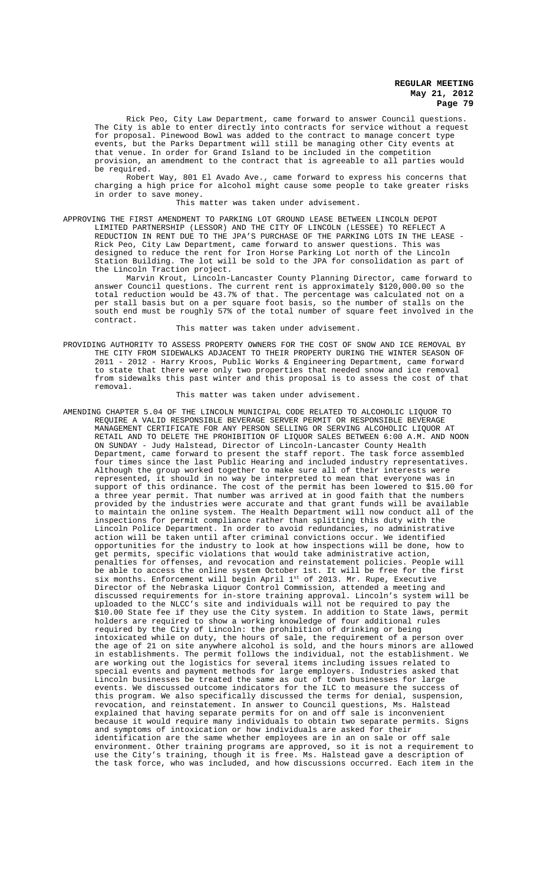Rick Peo, City Law Department, came forward to answer Council questions. The City is able to enter directly into contracts for service without a request for proposal. Pinewood Bowl was added to the contract to manage concert type events, but the Parks Department will still be managing other City events at that venue. In order for Grand Island to be included in the competition provision, an amendment to the contract that is agreeable to all parties would be required.

Robert Way, 801 El Avado Ave., came forward to express his concerns that charging a high price for alcohol might cause some people to take greater risks in order to save money.

This matter was taken under advisement.

#### APPROVING THE FIRST AMENDMENT TO PARKING LOT GROUND LEASE BETWEEN LINCOLN DEPOT

LIMITED PARTNERSHIP (LESSOR) AND THE CITY OF LINCOLN (LESSEE) TO REFLECT A REDUCTION IN RENT DUE TO THE JPA'S PURCHASE OF THE PARKING LOTS IN THE LEASE - Rick Peo, City Law Department, came forward to answer questions. This was designed to reduce the rent for Iron Horse Parking Lot north of the Lincoln Station Building. The lot will be sold to the JPA for consolidation as part of the Lincoln Traction project.

Marvin Krout, Lincoln-Lancaster County Planning Director, came forward to answer Council questions. The current rent is approximately \$120,000.00 so the total reduction would be 43.7% of that. The percentage was calculated not on a per stall basis but on a per square foot basis, so the number of stalls on the south end must be roughly 57% of the total number of square feet involved in the contract.

This matter was taken under advisement.

#### PROVIDING AUTHORITY TO ASSESS PROPERTY OWNERS FOR THE COST OF SNOW AND ICE REMOVAL BY THE CITY FROM SIDEWALKS ADJACENT TO THEIR PROPERTY DURING THE WINTER SEASON OF 2011 - 2012 - Harry Kroos, Public Works & Engineering Department, came forward to state that there were only two properties that needed snow and ice removal from sidewalks this past winter and this proposal is to assess the cost of that removal.

This matter was taken under advisement.

AMENDING CHAPTER 5.04 OF THE LINCOLN MUNICIPAL CODE RELATED TO ALCOHOLIC LIQUOR TO REQUIRE A VALID RESPONSIBLE BEVERAGE SERVER PERMIT OR RESPONSIBLE BEVERAGE MANAGEMENT CERTIFICATE FOR ANY PERSON SELLING OR SERVING ALCOHOLIC LIQUOR AT RETAIL AND TO DELETE THE PROHIBITION OF LIQUOR SALES BETWEEN 6:00 A.M. AND NOON ON SUNDAY - Judy Halstead, Director of Lincoln-Lancaster County Health Department, came forward to present the staff report. The task force assembled four times since the last Public Hearing and included industry representatives. Although the group worked together to make sure all of their interests were represented, it should in no way be interpreted to mean that everyone was in support of this ordinance. The cost of the permit has been lowered to \$15.00 for a three year permit. That number was arrived at in good faith that the numbers provided by the industries were accurate and that grant funds will be available to maintain the online system. The Health Department will now conduct all of the inspections for permit compliance rather than splitting this duty with the Lincoln Police Department. In order to avoid redundancies, no administrative action will be taken until after criminal convictions occur. We identified opportunities for the industry to look at how inspections will be done, how to get permits, specific violations that would take administrative action, penalties for offenses, and revocation and reinstatement policies. People will be able to access the online system October 1st. It will be free for the first six months. Enforcement will begin April 1st of 2013. Mr. Rupe, Executive Director of the Nebraska Liquor Control Commission, attended a meeting and discussed requirements for in-store training approval. Lincoln's system will be uploaded to the NLCC's site and individuals will not be required to pay the \$10.00 State fee if they use the City system. In addition to State laws, permit holders are required to show a working knowledge of four additional rules required by the City of Lincoln: the prohibition of drinking or being intoxicated while on duty, the hours of sale, the requirement of a person over the age of 21 on site anywhere alcohol is sold, and the hours minors are allowed in establishments. The permit follows the individual, not the establishment. We are working out the logistics for several items including issues related to special events and payment methods for large employers. Industries asked that Lincoln businesses be treated the same as out of town businesses for large events. We discussed outcome indicators for the ILC to measure the success of this program. We also specifically discussed the terms for denial, suspension, revocation, and reinstatement. In answer to Council questions, Ms. Halstead explained that having separate permits for on and off sale is inconvenient because it would require many individuals to obtain two separate permits. Signs and symptoms of intoxication or how individuals are asked for their identification are the same whether employees are in an on sale or off sale environment. Other training programs are approved, so it is not a requirement to use the City's training, though it is free. Ms. Halstead gave a description of the task force, who was included, and how discussions occurred. Each item in the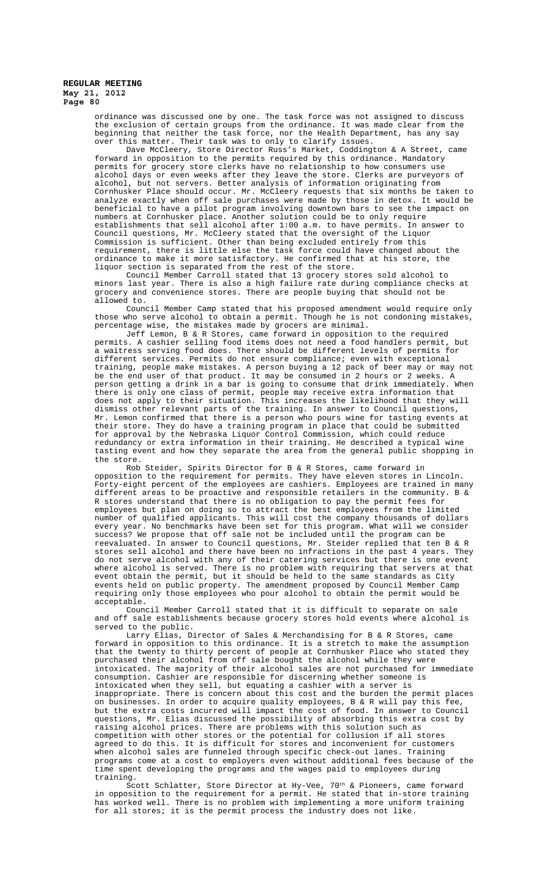> ordinance was discussed one by one. The task force was not assigned to discuss the exclusion of certain groups from the ordinance. It was made clear from the beginning that neither the task force, nor the Health Department, has any say over this matter. Their task was to only to clarify issues.

Dave McCleery, Store Director Russ's Market, Coddington & A Street, came forward in opposition to the permits required by this ordinance. Mandatory permits for grocery store clerks have no relationship to how consumers use alcohol days or even weeks after they leave the store. Clerks are purveyors of alcohol, but not servers. Better analysis of information originating from Cornhusker Place should occur. Mr. McCleery requests that six months be taken to analyze exactly when off sale purchases were made by those in detox. It would be beneficial to have a pilot program involving downtown bars to see the impact on numbers at Cornhusker place. Another solution could be to only require establishments that sell alcohol after 1:00 a.m. to have permits. In answer to Council questions, Mr. McCleery stated that the oversight of the Liquor Commission is sufficient. Other than being excluded entirely from this requirement, there is little else the task force could have changed about the ordinance to make it more satisfactory. He confirmed that at his store, the liquor section is separated from the rest of the store.

Council Member Carroll stated that 13 grocery stores sold alcohol to minors last year. There is also a high failure rate during compliance checks at grocery and convenience stores. There are people buying that should not be allowed to.

Council Member Camp stated that his proposed amendment would require only those who serve alcohol to obtain a permit. Though he is not condoning mistakes, percentage wise, the mistakes made by grocers are minimal.

Jeff Lemon, B & R Stores, came forward in opposition to the required permits. A cashier selling food items does not need a food handlers permit, but a waitress serving food does. There should be different levels of permits for different services. Permits do not ensure compliance; even with exceptional training, people make mistakes. A person buying a 12 pack of beer may or may not be the end user of that product. It may be consumed in 2 hours or 2 weeks. A person getting a drink in a bar is going to consume that drink immediately. When there is only one class of permit, people may receive extra information that does not apply to their situation. This increases the likelihood that they will dismiss other relevant parts of the training. In answer to Council questions, Mr. Lemon confirmed that there is a person who pours wine for tasting events at their store. They do have a training program in place that could be submitted for approval by the Nebraska Liquor Control Commission, which could reduce redundancy or extra information in their training. He described a typical wine tasting event and how they separate the area from the general public shopping in the store.

Rob Steider, Spirits Director for B & R Stores, came forward in opposition to the requirement for permits. They have eleven stores in Lincoln. Forty-eight percent of the employees are cashiers. Employees are trained in many different areas to be proactive and responsible retailers in the community. B & R stores understand that there is no obligation to pay the permit fees for employees but plan on doing so to attract the best employees from the limited number of qualified applicants. This will cost the company thousands of dollars every year. No benchmarks have been set for this program. What will we consider success? We propose that off sale not be included until the program can be reevaluated. In answer to Council questions, Mr. Steider replied that ten B & R stores sell alcohol and there have been no infractions in the past 4 years. They do not serve alcohol with any of their catering services but there is one event where alcohol is served. There is no problem with requiring that servers at that event obtain the permit, but it should be held to the same standards as City events held on public property. The amendment proposed by Council Member Camp requiring only those employees who pour alcohol to obtain the permit would be acceptable.

Council Member Carroll stated that it is difficult to separate on sale and off sale establishments because grocery stores hold events where alcohol is served to the public.

Larry Elias, Director of Sales & Merchandising for B & R Stores, came forward in opposition to this ordinance. It is a stretch to make the assumption that the twenty to thirty percent of people at Cornhusker Place who stated they purchased their alcohol from off sale bought the alcohol while they were intoxicated. The majority of their alcohol sales are not purchased for immediate responsible for discerning whether someone is intoxicated when they sell, but equating a cashier with a server is inappropriate. There is concern about this cost and the burden the permit places on businesses. In order to acquire quality employees, B & R will pay this fee, but the extra costs incurred will impact the cost of food. In answer to Council questions, Mr. Elias discussed the possibility of absorbing this extra cost by raising alcohol prices. There are problems with this solution such as competition with other stores or the potential for collusion if all stores agreed to do this. It is difficult for stores and inconvenient for customers when alcohol sales are funneled through specific check-out lanes. Training programs come at a cost to employers even without additional fees because of the time spent developing the programs and the wages paid to employees during training.

Scott Schlatter, Store Director at Hy-Vee,  $70^{\text{th}}$  & Pioneers, came forward in opposition to the requirement for a permit. He stated that in-store training has worked well. There is no problem with implementing a more uniform training for all stores; it is the permit process the industry does not like.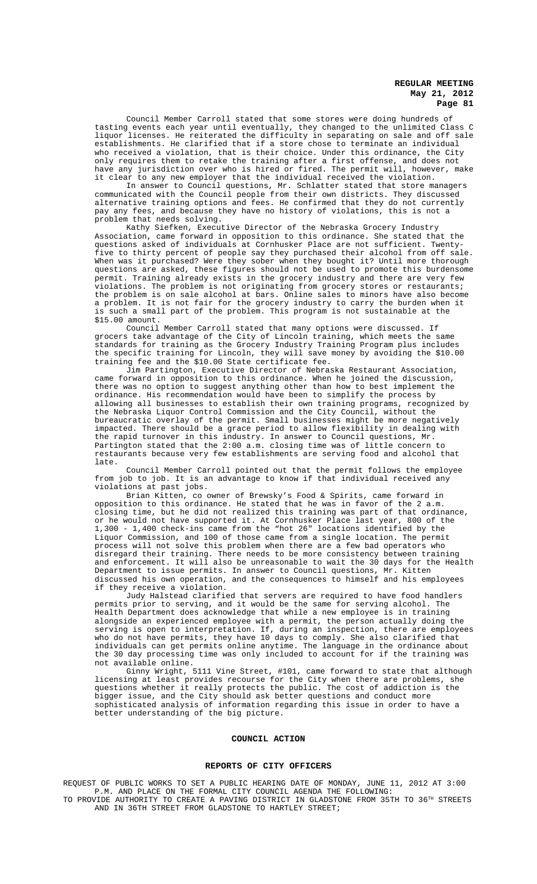Council Member Carroll stated that some stores were doing hundreds of tasting events each year until eventually, they changed to the unlimited Class C liquor licenses. He reiterated the difficulty in separating on sale and off sale establishments. He clarified that if a store chose to terminate an individual who received a violation, that is their choice. Under this ordinance, the City only requires them to retake the training after a first offense, and does not have any jurisdiction over who is hired or fired. The permit will, however, make it clear to any new employer that the individual received the violation.

In answer to Council questions, Mr. Schlatter stated that store managers communicated with the Council people from their own districts. They discussed alternative training options and fees. He confirmed that they do not currently pay any fees, and because they have no history of violations, this is not a problem that needs solving.

Kathy Siefken, Executive Director of the Nebraska Grocery Industry Association, came forward in opposition to this ordinance. She stated that the questions asked of individuals at Cornhusker Place are not sufficient. Twentyfive to thirty percent of people say they purchased their alcohol from off sale. When was it purchased? Were they sober when they bought it? Until more thorough questions are asked, these figures should not be used to promote this burdensome permit. Training already exists in the grocery industry and there are very few violations. The problem is not originating from grocery stores or restaurants; the problem is on sale alcohol at bars. Online sales to minors have also become a problem. It is not fair for the grocery industry to carry the burden when it is such a small part of the problem. This program is not sustainable at the \$15.00 amount.

Council Member Carroll stated that many options were discussed. If grocers take advantage of the City of Lincoln training, which meets the same standards for training as the Grocery Industry Training Program plus includes the specific training for Lincoln, they will save money by avoiding the \$10.00 training fee and the \$10.00 State certificate fee.

Jim Partington, Executive Director of Nebraska Restaurant Association, came forward in opposition to this ordinance. When he joined the discussion, there was no option to suggest anything other than how to best implement the ordinance. His recommendation would have been to simplify the process by allowing all businesses to establish their own training programs, recognized by the Nebraska Liquor Control Commission and the City Council, without the bureaucratic overlay of the permit. Small businesses might be more negatively impacted. There should be a grace period to allow flexibility in dealing with the rapid turnover in this industry. In answer to Council questions, Mr. Partington stated that the 2:00 a.m. closing time was of little concern to restaurants because very few establishments are serving food and alcohol that late.

Council Member Carroll pointed out that the permit follows the employee from job to job. It is an advantage to know if that individual received any violations at past jobs.

Brian Kitten, co owner of Brewsky's Food & Spirits, came forward in opposition to this ordinance. He stated that he was in favor of the 2 a.m.<br>closing time, but he did not realized this training was part of that ordinance, closing time, but he did not realized this training was part of that or he would not have supported it. At Cornhusker Place last year, 800 of the 1,300 - 1,400 check-ins came from the "hot 26" locations identified by the Liquor Commission, and 100 of those came from a single location. The permit process will not solve this problem when there are a few bad operators who disregard their training. There needs to be more consistency between training and enforcement. It will also be unreasonable to wait the 30 days for the Health Department to issue permits. In answer to Council questions, Mr. Kitten discussed his own operation, and the consequences to himself and his employees if they receive a violation.

Judy Halstead clarified that servers are required to have food handlers permits prior to serving, and it would be the same for serving alcohol. The Health Department does acknowledge that while a new employee is in training alongside an experienced employee with a permit, the person actually doing the serving is open to interpretation. If, during an inspection, there are employees who do not have permits, they have 10 days to comply. She also clarified that individuals can get permits online anytime. The language in the ordinance about the 30 day processing time was only included to account for if the training was not available online.

Ginny Wright, 5111 Vine Street, #101, came forward to state that although licensing at least provides recourse for the City when there are problems, she questions whether it really protects the public. The cost of addiction is the bigger issue, and the City should ask better questions and conduct more sophisticated analysis of information regarding this issue in order to have a better understanding of the big picture.

# **COUNCIL ACTION**

#### **REPORTS OF CITY OFFICERS**

REQUEST OF PUBLIC WORKS TO SET A PUBLIC HEARING DATE OF MONDAY, JUNE 11, 2012 AT 3:00 P.M. AND PLACE ON THE FORMAL CITY COUNCIL AGENDA THE FOLLOWING: TO PROVIDE AUTHORITY TO CREATE A PAVING DISTRICT IN GLADSTONE FROM 35TH TO 36TH STREETS AND IN 36TH STREET FROM GLADSTONE TO HARTLEY STREET;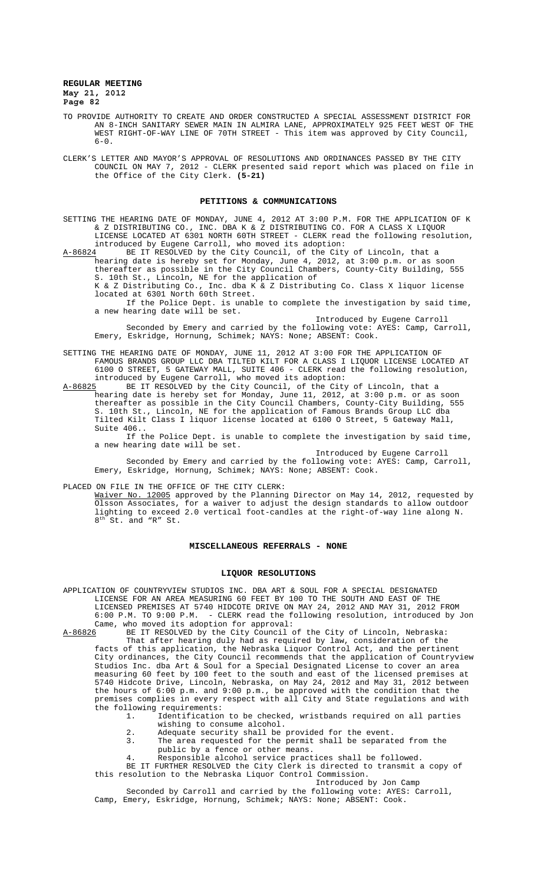- TO PROVIDE AUTHORITY TO CREATE AND ORDER CONSTRUCTED A SPECIAL ASSESSMENT DISTRICT FOR AN 8-INCH SANITARY SEWER MAIN IN ALMIRA LANE, APPROXIMATELY 925 FEET WEST OF THE WEST RIGHT-OF-WAY LINE OF 70TH STREET - This item was approved by City Council,  $6 - 0$ .
- CLERK'S LETTER AND MAYOR'S APPROVAL OF RESOLUTIONS AND ORDINANCES PASSED BY THE CITY COUNCIL ON MAY 7, 2012 - CLERK presented said report which was placed on file in the Office of the City Clerk. **(5-21)**

#### **PETITIONS & COMMUNICATIONS**

SETTING THE HEARING DATE OF MONDAY, JUNE 4, 2012 AT 3:00 P.M. FOR THE APPLICATION OF K & Z DISTRIBUTING CO., INC. DBA K & Z DISTRIBUTING CO. FOR A CLASS X LIQUOR LICENSE LOCATED AT 6301 NORTH 60TH STREET - CLERK read the following resolution, introduced by Eugene Carroll, who moved its adoption:<br>A-86824 BE IT RESOLVED by the City Council, of the City

BE IT RESOLVED by the City Council, of the City of Lincoln, that a hearing date is hereby set for Monday, June 4, 2012, at 3:00 p.m. or as soon thereafter as possible in the City Council Chambers, County-City Building, 555 S. 10th St., Lincoln, NE for the application of

K & Z Distributing Co., Inc. dba K & Z Distributing Co. Class X liquor license located at 6301 North 60th Street. If the Police Dept. is unable to complete the investigation by said time,

a new hearing date will be set.

Introduced by Eugene Carroll Seconded by Emery and carried by the following vote: AYES: Camp, Carroll, Emery, Eskridge, Hornung, Schimek; NAYS: None; ABSENT: Cook.

#### SETTING THE HEARING DATE OF MONDAY, JUNE 11, 2012 AT 3:00 FOR THE APPLICATION OF FAMOUS BRANDS GROUP LLC DBA TILTED KILT FOR A CLASS I LIQUOR LICENSE LOCATED AT 6100 O STREET, 5 GATEWAY MALL, SUITE 406 - CLERK read the following resolution, introduced by Eugene Carroll, who moved its adoption:

A-86825 BE IT RESOLVED by the City Council, of the City of Lincoln, that a hearing date is hereby set for Monday, June 11, 2012, at 3:00 p.m. or as soon thereafter as possible in the City Council Chambers, County-City Building, 555 S. 10th St., Lincoln, NE for the application of Famous Brands Group LLC dba Tilted Kilt Class I liquor license located at 6100 O Street, 5 Gateway Mall, Suite 406..

If the Police Dept. is unable to complete the investigation by said time, a new hearing date will be set.

Introduced by Eugene Carroll

Seconded by Emery and carried by the following vote: AYES: Camp, Carroll, Emery, Eskridge, Hornung, Schimek; NAYS: None; ABSENT: Cook.

PLACED ON FILE IN THE OFFICE OF THE CITY CLERK:

Waiver No. 12005 approved by the Planning Director on May 14, 2012, requested by Olsson Associates, for a waiver to adjust the design standards to allow outdoor lighting to exceed 2.0 vertical foot-candles at the right-of-way line along N. 8<sup>th</sup> St. and "R" St.

#### **MISCELLANEOUS REFERRALS - NONE**

#### **LIQUOR RESOLUTIONS**

APPLICATION OF COUNTRYVIEW STUDIOS INC. DBA ART & SOUL FOR A SPECIAL DESIGNATED LICENSE FOR AN AREA MEASURING 60 FEET BY 100 TO THE SOUTH AND EAST OF THE LICENSED PREMISES AT 5740 HIDCOTE DRIVE ON MAY 24, 2012 AND MAY 31, 2012 FROM 6:00 P.M. TO 9:00 P.M. - CLERK read the following resolution, introduced by Jon Came, who moved its adoption for approval:<br>A-86826 BE IT RESOLVED by the City Council of

BE IT RESOLVED by the City Council of the City of Lincoln, Nebraska: That after hearing duly had as required by law, consideration of the facts of this application, the Nebraska Liquor Control Act, and the pertinent City ordinances, the City Council recommends that the application of Countryview Studios Inc. dba Art & Soul for a Special Designated License to cover an area measuring 60 feet by 100 feet to the south and east of the licensed premises at 5740 Hidcote Drive, Lincoln, Nebraska, on May 24, 2012 and May 31, 2012 between the hours of 6:00 p.m. and 9:00 p.m., be approved with the condition that the premises complies in every respect with all City and State regulations and with the following requirements:<br>1. Identification

- 1. Identification to be checked, wristbands required on all parties wishing to consume alcohol.
- 2. Adequate security shall be provided for the event.<br>3. The area requested for the permit shall be separat
- The area requested for the permit shall be separated from the public by a fence or other means.
- 4. Responsible alcohol service practices shall be followed.
- BE IT FURTHER RESOLVED the City Clerk is directed to transmit a copy of this resolution to the Nebraska Liquor Control Commission. Introduced by Jon Camp

Seconded by Carroll and carried by the following vote: AYES: Carroll, Camp, Emery, Eskridge, Hornung, Schimek; NAYS: None; ABSENT: Cook.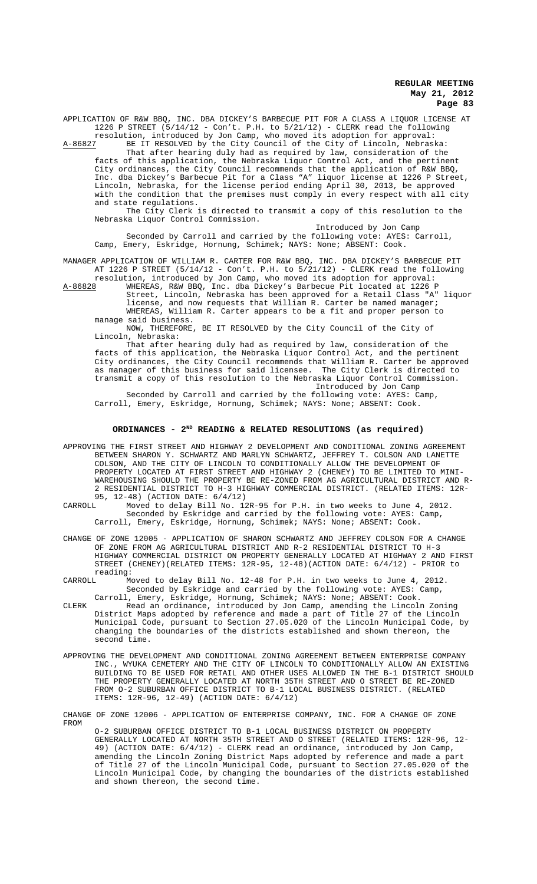APPLICATION OF R&W BBQ, INC. DBA DICKEY'S BARBECUE PIT FOR A CLASS A LIQUOR LICENSE AT 1226 P STREET (5/14/12 - Con't. P.H. to 5/21/12) - CLERK read the following resolution, introduced by Jon Camp, who moved its adoption for approval:

A-86827 BE IT RESOLVED by the City Council of the City of Lincoln, Nebraska: That after hearing duly had as required by law, consideration of the facts of this application, the Nebraska Liquor Control Act, and the pertinent City ordinances, the City Council recommends that the application of R&W BBQ, Inc. dba Dickey's Barbecue Pit for a Class "A" liquor license at 1226 P Street, Lincoln, Nebraska, for the license period ending April 30, 2013, be approved with the condition that the premises must comply in every respect with all city and state regulations.

The City Clerk is directed to transmit a copy of this resolution to the Nebraska Liquor Control Commission.

Introduced by Jon Camp Seconded by Carroll and carried by the following vote: AYES: Carroll, Camp, Emery, Eskridge, Hornung, Schimek; NAYS: None; ABSENT: Cook.

MANAGER APPLICATION OF WILLIAM R. CARTER FOR R&W BBQ, INC. DBA DICKEY'S BARBECUE PIT AT 1226 P STREET (5/14/12 - Con't. P.H. to 5/21/12) - CLERK read the following

resolution, introduced by Jon Camp, who moved its adoption for approval: A-86828 MHEREAS, R&W BBQ, Inc. dba Dickey's Barbecue Pit located at 1226 P Street, Lincoln, Nebraska has been approved for a Retail Class "A" liquor license, and now requests that William R. Carter be named manager; WHEREAS, William R. Carter appears to be a fit and proper person to manage said business.

NOW, THEREFORE, BE IT RESOLVED by the City Council of the City of Lincoln, Nebraska:

That after hearing duly had as required by law, consideration of the facts of this application, the Nebraska Liquor Control Act, and the pertinent City ordinances, the City Council recommends that William R. Carter be approved as manager of this business for said licensee. The City Clerk is directed to transmit a copy of this resolution to the Nebraska Liquor Control Commission. Introduced by Jon Camp

Seconded by Carroll and carried by the following vote: AYES: Camp, Carroll, Emery, Eskridge, Hornung, Schimek; NAYS: None; ABSENT: Cook.

# ORDINANCES - 2<sup>ND</sup> READING & RELATED RESOLUTIONS (as required)

APPROVING THE FIRST STREET AND HIGHWAY 2 DEVELOPMENT AND CONDITIONAL ZONING AGREEMENT BETWEEN SHARON Y. SCHWARTZ AND MARLYN SCHWARTZ, JEFFREY T. COLSON AND LANETTE COLSON, AND THE CITY OF LINCOLN TO CONDITIONALLY ALLOW THE DEVELOPMENT OF PROPERTY LOCATED AT FIRST STREET AND HIGHWAY 2 (CHENEY) TO BE LIMITED TO MINI-WAREHOUSING SHOULD THE PROPERTY BE RE-ZONED FROM AG AGRICULTURAL DISTRICT AND R-2 RESIDENTIAL DISTRICT TO H-3 HIGHWAY COMMERCIAL DISTRICT. (RELATED ITEMS: 12R-95, 12-48) (ACTION DATE:  $6/4/12$ )<br>CARROLL, Moved to delay Bill No. 11

Moved to delay Bill No. 12R-95 for P.H. in two weeks to June 4, 2012. Seconded by Eskridge and carried by the following vote: AYES: Camp, Carroll, Emery, Eskridge, Hornung, Schimek; NAYS: None; ABSENT: Cook.

CHANGE OF ZONE 12005 - APPLICATION OF SHARON SCHWARTZ AND JEFFREY COLSON FOR A CHANGE OF ZONE FROM AG AGRICULTURAL DISTRICT AND R-2 RESIDENTIAL DISTRICT TO H-3 HIGHWAY COMMERCIAL DISTRICT ON PROPERTY GENERALLY LOCATED AT HIGHWAY 2 AND FIRST STREET (CHENEY)(RELATED ITEMS: 12R-95, 12-48)(ACTION DATE: 6/4/12) - PRIOR to reading:<br>CARROLL M

Moved to delay Bill No. 12-48 for P.H. in two weeks to June 4, 2012. Seconded by Eskridge and carried by the following vote: AYES: Camp, Carroll, Emery, Eskridge, Hornung, Schimek; NAYS: None; ABSENT: Cook.

- CLERK Read an ordinance, introduced by Jon Camp, amending the Lincoln Zoning District Maps adopted by reference and made a part of Title 27 of the Lincoln Municipal Code, pursuant to Section 27.05.020 of the Lincoln Municipal Code, by changing the boundaries of the districts established and shown thereon, the second time.
- APPROVING THE DEVELOPMENT AND CONDITIONAL ZONING AGREEMENT BETWEEN ENTERPRISE COMPANY INC., WYUKA CEMETERY AND THE CITY OF LINCOLN TO CONDITIONALLY ALLOW AN EXISTING BUILDING TO BE USED FOR RETAIL AND OTHER USES ALLOWED IN THE B-1 DISTRICT SHOULD THE PROPERTY GENERALLY LOCATED AT NORTH 35TH STREET AND O STREET BE RE-ZONED FROM O-2 SUBURBAN OFFICE DISTRICT TO B-1 LOCAL BUSINESS DISTRICT. (RELATED ITEMS: 12R-96, 12-49) (ACTION DATE: 6/4/12)

CHANGE OF ZONE 12006 - APPLICATION OF ENTERPRISE COMPANY, INC. FOR A CHANGE OF ZONE FROM

O-2 SUBURBAN OFFICE DISTRICT TO B-1 LOCAL BUSINESS DISTRICT ON PROPERTY GENERALLY LOCATED AT NORTH 35TH STREET AND O STREET (RELATED ITEMS: 12R-96, 12- 49) (ACTION DATE: 6/4/12) - CLERK read an ordinance, introduced by Jon Camp, amending the Lincoln Zoning District Maps adopted by reference and made a part of Title 27 of the Lincoln Municipal Code, pursuant to Section 27.05.020 of the Lincoln Municipal Code, by changing the boundaries of the districts established and shown thereon, the second time.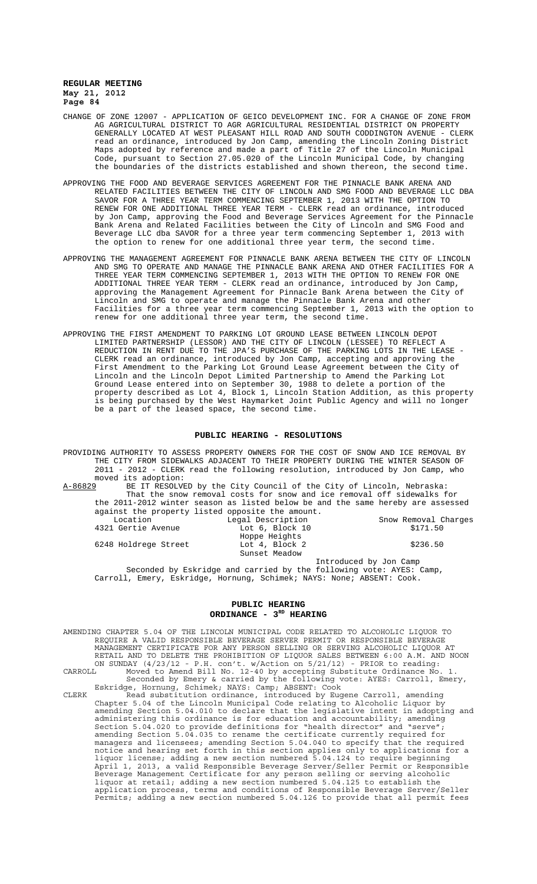- CHANGE OF ZONE 12007 APPLICATION OF GEICO DEVELOPMENT INC. FOR A CHANGE OF ZONE FROM AG AGRICULTURAL DISTRICT TO AGR AGRICULTURAL RESIDENTIAL DISTRICT ON PROPERTY GENERALLY LOCATED AT WEST PLEASANT HILL ROAD AND SOUTH CODDINGTON AVENUE - CLERK read an ordinance, introduced by Jon Camp, amending the Lincoln Zoning District Maps adopted by reference and made a part of Title 27 of the Lincoln Municipal Code, pursuant to Section 27.05.020 of the Lincoln Municipal Code, by changing the boundaries of the districts established and shown thereon, the second time.
- APPROVING THE FOOD AND BEVERAGE SERVICES AGREEMENT FOR THE PINNACLE BANK ARENA AND RELATED FACILITIES BETWEEN THE CITY OF LINCOLN AND SMG FOOD AND BEVERAGE LLC DBA SAVOR FOR A THREE YEAR TERM COMMENCING SEPTEMBER 1, 2013 WITH THE OPTION TO RENEW FOR ONE ADDITIONAL THREE YEAR TERM - CLERK read an ordinance, introduced by Jon Camp, approving the Food and Beverage Services Agreement for the Pinnacle Bank Arena and Related Facilities between the City of Lincoln and SMG Food and Beverage LLC dba SAVOR for a three year term commencing September 1, 2013 with the option to renew for one additional three year term, the second time.
- APPROVING THE MANAGEMENT AGREEMENT FOR PINNACLE BANK ARENA BETWEEN THE CITY OF LINCOLN AND SMG TO OPERATE AND MANAGE THE PINNACLE BANK ARENA AND OTHER FACILITIES FOR A THREE YEAR TERM COMMENCING SEPTEMBER 1, 2013 WITH THE OPTION TO RENEW FOR ONE ADDITIONAL THREE YEAR TERM - CLERK read an ordinance, introduced by Jon Camp, approving the Management Agreement for Pinnacle Bank Arena between the City of Lincoln and SMG to operate and manage the Pinnacle Bank Arena and other Facilities for a three year term commencing September 1, 2013 with the option to renew for one additional three year term, the second time.
- APPROVING THE FIRST AMENDMENT TO PARKING LOT GROUND LEASE BETWEEN LINCOLN DEPOT LIMITED PARTNERSHIP (LESSOR) AND THE CITY OF LINCOLN (LESSEE) TO REFLECT A REDUCTION IN RENT DUE TO THE JPA'S PURCHASE OF THE PARKING LOTS IN THE LEASE - CLERK read an ordinance, introduced by Jon Camp, accepting and approving the First Amendment to the Parking Lot Ground Lease Agreement between the City of Lincoln and the Lincoln Depot Limited Partnership to Amend the Parking Lot Ground Lease entered into on September 30, 1988 to delete a portion of the property described as Lot 4, Block 1, Lincoln Station Addition, as this property is being purchased by the West Haymarket Joint Public Agency and will no longer be a part of the leased space, the second time.

### **PUBLIC HEARING - RESOLUTIONS**

PROVIDING AUTHORITY TO ASSESS PROPERTY OWNERS FOR THE COST OF SNOW AND ICE REMOVAL BY THE CITY FROM SIDEWALKS ADJACENT TO THEIR PROPERTY DURING THE WINTER SEASON OF 2011 - 2012 - CLERK read the following resolution, introduced by Jon Camp, who

moved its adoption:<br>A-8<u>6829</u> BE IT RESOLV BE IT RESOLVED by the City Council of the City of Lincoln, Nebraska: That the snow removal costs for snow and ice removal off sidewalks for the 2011-2012 winter season as listed below be and the same hereby are assessed against the property listed opposite the amount.

| Legal Description | Snow Removal Charges   |
|-------------------|------------------------|
| Lot 6, Block 10   | \$171.50               |
| Hoppe Heights     |                        |
| Lot 4, Block 2    | \$236.50               |
| Sunset Meadow     |                        |
|                   | Introduced by Jon Camp |
|                   |                        |

Seconded by Eskridge and carried by the following vote: AYES: Camp, Carroll, Emery, Eskridge, Hornung, Schimek; NAYS: None; ABSENT: Cook.

### **PUBLIC HEARING ORDINANCE - 3RD HEARING**

AMENDING CHAPTER 5.04 OF THE LINCOLN MUNICIPAL CODE RELATED TO ALCOHOLIC LIQUOR TO REQUIRE A VALID RESPONSIBLE BEVERAGE SERVER PERMIT OR RESPONSIBLE BEVERAGE MANAGEMENT CERTIFICATE FOR ANY PERSON SELLING OR SERVING ALCOHOLIC LIQUOR AT RETAIL AND TO DELETE THE PROHIBITION OF LIQUOR SALES BETWEEN 6:00 A.M. AND NOON ON SUNDAY (4/23/12 - P.H. con't. w/Action on 5/21/12) - PRIOR to reading: CARROLL Moved to Amend Bill No. 12-40 by accepting Substitute Ordinance No. 1. Seconded by Emery & carried by the following vote: AYES: Carroll, Emery, Eskridge, Hornung, Schimek; NAYS: Camp; ABSENT: Cook CLERK Read substitution ordinance, introduced by Eugene Carroll, amending Chapter 5.04 of the Lincoln Municipal Code relating to Alcoholic Liquor by amending Section 5.04.010 to declare that the legislative intent in adopting and administering this ordinance is for education and accountability; amending Section 5.04.020 to provide definitions for "health director" and "serve"; amending Section 5.04.035 to rename the certificate currently required for managers and licensees; amending Section 5.04.040 to specify that the required notice and hearing set forth in this section applies only to applications for a liquor license; adding a new section numbered 5.04.124 to require beginning April 1, 2013, a valid Responsible Beverage Server/Seller Permit or Responsible Beverage Management Certificate for any person selling or serving alcoholic liquor at retail; adding a new section numbered 5.04.125 to establish the application process, terms and conditions of Responsible Beverage Server/Seller Permits; adding a new section numbered 5.04.126 to provide that all permit fees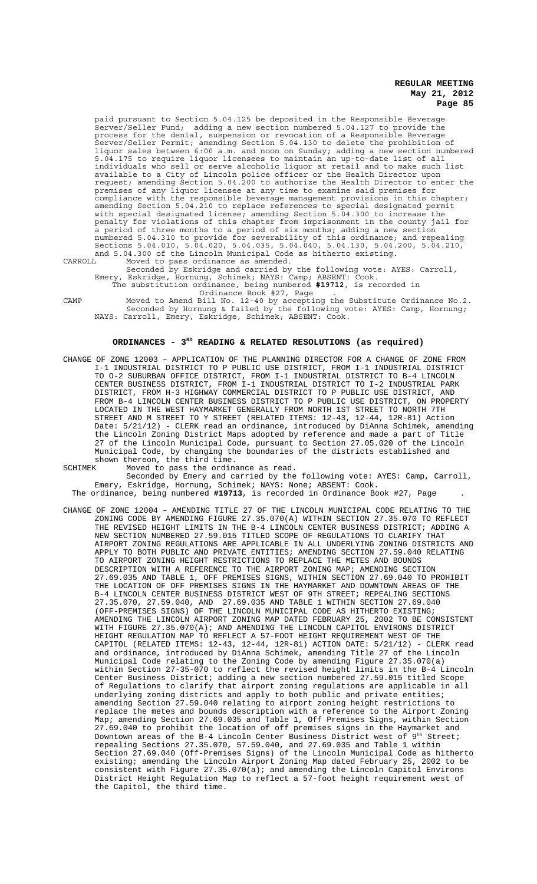paid pursuant to Section 5.04.125 be deposited in the Responsible Beverage Server/Seller Fund; adding a new section numbered 5.04.127 to provide the process for the denial, suspension or revocation of a Responsible Beverage Server/Seller Permit; amending Section 5.04.130 to delete the prohibition of liquor sales between 6:00 a.m. and noon on Sunday; adding a new section numbered 5.04.175 to require liquor licensees to maintain an up-to-date list of all individuals who sell or serve alcoholic liquor at retail and to make such list available to a City of Lincoln police officer or the Health Director upon request; amending Section 5.04.200 to authorize the Health Director to enter the premises of any liquor licensee at any time to examine said premises for compliance with the responsible beverage management provisions in this chapter; amending Section 5.04.210 to replace references to special designated permit with special designated license; amending Section 5.04.300 to increase the penalty for violations of this chapter from imprisonment in the county jail for a period of three months to a period of six months; adding a new section numbered 5.04.310 to provide for severability of this ordinance; and repealing Sections 5.04.010, 5.04.020, 5.04.035, 5.04.040, 5.04.130, 5.04.200, 5.04.210, and 5.04.300 of the Lincoln Municipal Code as hitherto existing. CARROLL Moved to pass ordinance as amended.

Seconded by Eskridge and carried by the following vote: AYES: Carroll, Emery, Eskridge, Hornung, Schimek; NAYS: Camp; ABSENT: Cook. The substitution ordinance, being numbered **#19712**, is recorded in

CAMP Moved to Amend Bill No. 12-40 by accepting the Substitute Ordinance No.2. Seconded by Hornung & failed by the following vote: AYES: Camp, Hornung; NAYS: Carroll, Emery, Eskridge, Schimek; ABSENT: Cook.

# ORDINANCES - 3<sup>RD</sup> READING & RELATED RESOLUTIONS (as required)

Ordinance Book #27, Page .

CHANGE OF ZONE 12003 – APPLICATION OF THE PLANNING DIRECTOR FOR A CHANGE OF ZONE FROM I-1 INDUSTRIAL DISTRICT TO P PUBLIC USE DISTRICT, FROM I-1 INDUSTRIAL DISTRICT TO O-2 SUBURBAN OFFICE DISTRICT, FROM I-1 INDUSTRIAL DISTRICT TO B-4 LINCOLN CENTER BUSINESS DISTRICT, FROM I-1 INDUSTRIAL DISTRICT TO I-2 INDUSTRIAL PARK DISTRICT, FROM H-3 HIGHWAY COMMERCIAL DISTRICT TO P PUBLIC USE DISTRICT, AND FROM B-4 LINCOLN CENTER BUSINESS DISTRICT TO P PUBLIC USE DISTRICT, ON PROPERTY LOCATED IN THE WEST HAYMARKET GENERALLY FROM NORTH 1ST STREET TO NORTH 7TH STREET AND M STREET TO Y STREET (RELATED ITEMS: 12-43, 12-44, 12R-81) Action Date: 5/21/12) - CLERK read an ordinance, introduced by DiAnna Schimek, amending the Lincoln Zoning District Maps adopted by reference and made a part of Title 27 of the Lincoln Municipal Code, pursuant to Section 27.05.020 of the Lincoln Municipal Code, by changing the boundaries of the districts established and shown thereon, the third time.

SCHIMEK Moved to pass the ordinance as read.

Seconded by Emery and carried by the following vote: AYES: Camp, Carroll, Emery, Eskridge, Hornung, Schimek; NAYS: None; ABSENT: Cook. The ordinance, being numbered **#19713**, is recorded in Ordinance Book #27, Page .

CHANGE OF ZONE 12004 – AMENDING TITLE 27 OF THE LINCOLN MUNICIPAL CODE RELATING TO THE ZONING CODE BY AMENDING FIGURE 27.35.070(A) WITHIN SECTION 27.35.070 TO REFLECT THE REVISED HEIGHT LIMITS IN THE B-4 LINCOLN CENTER BUSINESS DISTRICT; ADDING A NEW SECTION NUMBERED 27.59.015 TITLED SCOPE OF REGULATIONS TO CLARIFY THAT AIRPORT ZONING REGULATIONS ARE APPLICABLE IN ALL UNDERLYING ZONING DISTRICTS AND APPLY TO BOTH PUBLIC AND PRIVATE ENTITIES; AMENDING SECTION 27.59.040 RELATING TO AIRPORT ZONING HEIGHT RESTRICTIONS TO REPLACE THE METES AND BOUNDS DESCRIPTION WITH A REFERENCE TO THE AIRPORT ZONING MAP; AMENDING SECTION 27.69.035 AND TABLE 1, OFF PREMISES SIGNS, WITHIN SECTION 27.69.040 TO PROHIBIT THE LOCATION OF OFF PREMISES SIGNS IN THE HAYMARKET AND DOWNTOWN AREAS OF THE B-4 LINCOLN CENTER BUSINESS DISTRICT WEST OF 9TH STREET; REPEALING SECTIONS 27.35.070, 27.59.040, AND 27.69.035 AND TABLE 1 WITHIN SECTION 27.69.040 (OFF-PREMISES SIGNS) OF THE LINCOLN MUNICIPAL CODE AS HITHERTO EXISTING; AMENDING THE LINCOLN AIRPORT ZONING MAP DATED FEBRUARY 25, 2002 TO BE CONSISTENT WITH FIGURE 27.35.070(A); AND AMENDING THE LINCOLN CAPITOL ENVIRONS DISTRICT HEIGHT REGULATION MAP TO REFLECT A 57-FOOT HEIGHT REQUIREMENT WEST OF THE CAPITOL (RELATED ITEMS: 12-43, 12-44, 12R-81) ACTION DATE: 5/21/12) - CLERK read and ordinance, introduced by DiAnna Schimek, amending Title 27 of the Lincoln Municipal Code relating to the Zoning Code by amending Figure 27.35.070(a) within Section 27-35-070 to reflect the revised height limits in the B-4 Lincoln Center Business District; adding a new section numbered 27.59.015 titled Scope of Regulations to clarify that airport zoning regulations are applicable in all underlying zoning districts and apply to both public and private entities; amending Section 27.59.040 relating to airport zoning height restrictions to replace the metes and bounds description with a reference to the Airport Zoning Map; amending Section 27.69.035 and Table 1, Off Premises Signs, within Section 27.69.040 to prohibit the location of off premises signs in the Haymarket and Downtown areas of the B-4 Lincoln Center Business District west of 9<sup>th</sup> Street; repealing Sections 27.35.070, 57.59.040, and 27.69.035 and Table 1 within Section 27.69.040 (Off-Premises Signs) of the Lincoln Municipal Code as hitherto existing; amending the Lincoln Airport Zoning Map dated February 25, 2002 to be consistent with Figure 27.35.070(a); and amending the Lincoln Capitol Environs District Height Regulation Map to reflect a 57-foot height requirement west of the Capitol, the third time.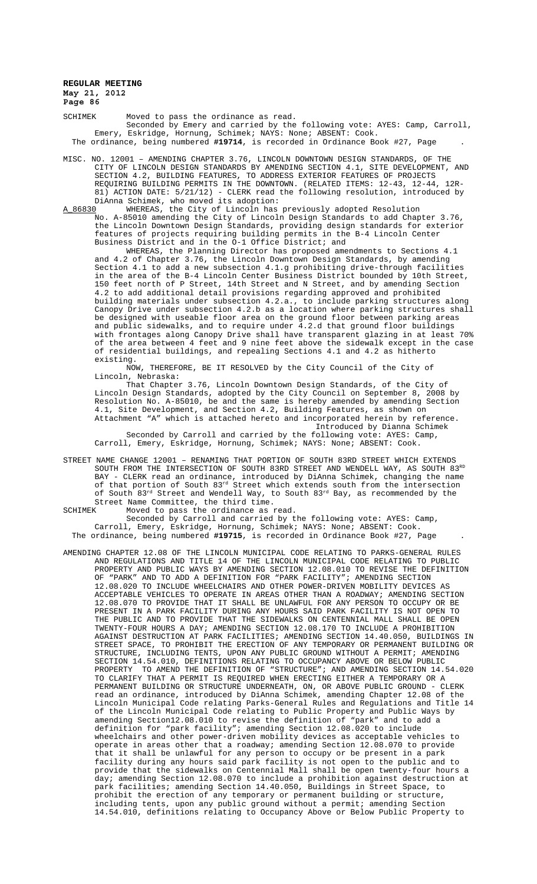SCHIMEK Moved to pass the ordinance as read. Seconded by Emery and carried by the following vote: AYES: Camp, Carroll, Emery, Eskridge, Hornung, Schimek; NAYS: None; ABSENT: Cook. The ordinance, being numbered **#19714**, is recorded in Ordinance Book #27, Page .

- MISC. NO. 12001 AMENDING CHAPTER 3.76, LINCOLN DOWNTOWN DESIGN STANDARDS, OF THE CITY OF LINCOLN DESIGN STANDARDS BY AMENDING SECTION 4.1, SITE DEVELOPMENT, AND SECTION 4.2, BUILDING FEATURES, TO ADDRESS EXTERIOR FEATURES OF PROJECTS REQUIRING BUILDING PERMITS IN THE DOWNTOWN. (RELATED ITEMS: 12-43, 12-44, 12R-81) ACTION DATE: 5/21/12) - CLERK read the following resolution, introduced by DiAnna Schimek, who moved its adoption:<br>A\_86830 WHEREAS, the City of Lincoln has
	- WHEREAS, the City of Lincoln has previously adopted Resolution No. A-85010 amending the City of Lincoln Design Standards to add Chapter 3.76, the Lincoln Downtown Design Standards, providing design standards for exterior features of projects requiring building permits in the B-4 Lincoln Center Business District and in the O-1 Office District; and

WHEREAS, the Planning Director has proposed amendments to Sections 4.1 and 4.2 of Chapter 3.76, the Lincoln Downtown Design Standards, by amending Section 4.1 to add a new subsection 4.1.g prohibiting drive-through facilities in the area of the B-4 Lincoln Center Business District bounded by 10th Street, 150 feet north of P Street, 14th Street and N Street, and by amending Section 4.2 to add additional detail provisions regarding approved and prohibited building materials under subsection 4.2.a., to include parking structures along Canopy Drive under subsection 4.2.b as a location where parking structures shall be designed with useable floor area on the ground floor between parking areas and public sidewalks, and to require under 4.2.d that ground floor buildings with frontages along Canopy Drive shall have transparent glazing in at least 70% of the area between 4 feet and 9 nine feet above the sidewalk except in the case of residential buildings, and repealing Sections 4.1 and 4.2 as hitherto existing.

NOW, THEREFORE, BE IT RESOLVED by the City Council of the City of Lincoln, Nebraska:

That Chapter 3.76, Lincoln Downtown Design Standards, of the City of Lincoln Design Standards, adopted by the City Council on September 8, 2008 by Resolution No. A-85010, be and the same is hereby amended by amending Section 4.1, Site Development, and Section 4.2, Building Features, as shown on Attachment "A" which is attached hereto and incorporated herein by reference.

Introduced by Dianna Schimek Seconded by Carroll and carried by the following vote: AYES: Camp, Carroll, Emery, Eskridge, Hornung, Schimek; NAYS: None; ABSENT: Cook.

STREET NAME CHANGE 12001 – RENAMING THAT PORTION OF SOUTH 83RD STREET WHICH EXTENDS SOUTH FROM THE INTERSECTION OF SOUTH 83RD STREET AND WENDELL WAY, AS SOUTH 83RD BAY - CLERK read an ordinance, introduced by DiAnna Schimek, changing the name of that portion of South 83<sup>rd</sup> Street which extends south from the intersection of South  $83^{\text{rd}}$  Street and Wendell Way, to South  $83^{\text{rd}}$  Bay, as recommended by the Street Name Committee, the third time.<br>SCHIMEK Moved to pass the ordinance as

Moved to pass the ordinance as read.

Seconded by Carroll and carried by the following vote: AYES: Camp, Carroll, Emery, Eskridge, Hornung, Schimek; NAYS: None; ABSENT: Cook. The ordinance, being numbered **#19715**, is recorded in Ordinance Book #27, Page .

AMENDING CHAPTER 12.08 OF THE LINCOLN MUNICIPAL CODE RELATING TO PARKS-GENERAL RULES AND REGULATIONS AND TITLE 14 OF THE LINCOLN MUNICIPAL CODE RELATING TO PUBLIC PROPERTY AND PUBLIC WAYS BY AMENDING SECTION 12.08.010 TO REVISE THE DEFINITION OF "PARK" AND TO ADD A DEFINITION FOR "PARK FACILITY"; AMENDING SECTION 12.08.020 TO INCLUDE WHEELCHAIRS AND OTHER POWER-DRIVEN MOBILITY DEVICES AS ACCEPTABLE VEHICLES TO OPERATE IN AREAS OTHER THAN A ROADWAY; AMENDING SECTION 12.08.070 TO PROVIDE THAT IT SHALL BE UNLAWFUL FOR ANY PERSON TO OCCUPY OR BE PRESENT IN A PARK FACILITY DURING ANY HOURS SAID PARK FACILITY IS NOT OPEN TO THE PUBLIC AND TO PROVIDE THAT THE SIDEWALKS ON CENTENNIAL MALL SHALL BE OPEN TWENTY-FOUR HOURS A DAY; AMENDING SECTION 12.08.170 TO INCLUDE A PROHIBITION AGAINST DESTRUCTION AT PARK FACILITIES; AMENDING SECTION 14.40.050, BUILDINGS IN STREET SPACE, TO PROHIBIT THE ERECTION OF ANY TEMPORARY OR PERMANENT BUILDING OR STRUCTURE, INCLUDING TENTS, UPON ANY PUBLIC GROUND WITHOUT A PERMIT; AMENDING SECTION 14.54.010, DEFINITIONS RELATING TO OCCUPANCY ABOVE OR BELOW PUBLIC PROPERTY TO AMEND THE DEFINITION OF "STRUCTURE"; AND AMENDING SECTION 14.54.020 TO CLARIFY THAT A PERMIT IS REQUIRED WHEN ERECTING EITHER A TEMPORARY OR A PERMANENT BUILDING OR STRUCTURE UNDERNEATH, ON, OR ABOVE PUBLIC GROUND - CLERK read an ordinance, introduced by DiAnna Schimek, amending Chapter 12.08 of the Lincoln Municipal Code relating Parks-General Rules and Regulations and Title 14 of the Lincoln Municipal Code relating to Public Property and Public Ways by amending Section12.08.010 to revise the definition of "park" and to add a definition for "park facility"; amending Section 12.08.020 to include wheelchairs and other power-driven mobility devices as acceptable vehicles to operate in areas other that a roadway; amending Section 12.08.070 to provide that it shall be unlawful for any person to occupy or be present in a park facility during any hours said park facility is not open to the public and to provide that the sidewalks on Centennial Mall shall be open twenty-four hours a day; amending Section 12.08.070 to include a prohibition against destruction at park facilities; amending Section 14.40.050, Buildings in Street Space, to prohibit the erection of any temporary or permanent building or structure, including tents, upon any public ground without a permit; amending Section 14.54.010, definitions relating to Occupancy Above or Below Public Property to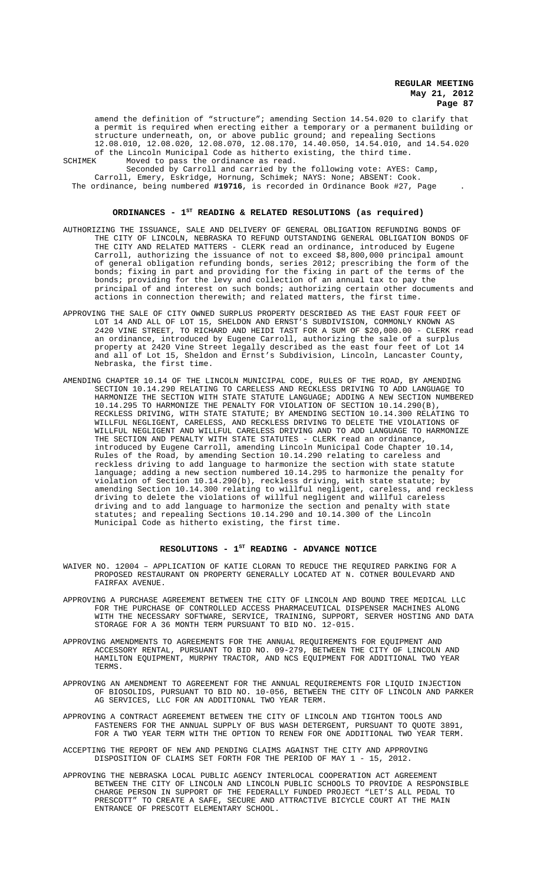amend the definition of "structure"; amending Section 14.54.020 to clarify that a permit is required when erecting either a temporary or a permanent building or structure underneath, on, or above public ground; and repealing Sections 12.08.010, 12.08.020, 12.08.070, 12.08.170, 14.40.050, 14.54.010, and 14.54.020 of the Lincoln Municipal Code as hitherto existing, the third time.<br>SCHIMEK Moved to pass the ordinance as read

SCHIMEK Moved to pass the ordinance as read. Seconded by Carroll and carried by the following vote: AYES: Camp, Carroll, Emery, Eskridge, Hornung, Schimek; NAYS: None; ABSENT: Cook. The ordinance, being numbered **#19716**, is recorded in Ordinance Book #27, Page .

### ORDINANCES - 1<sup>st</sup> READING & RELATED RESOLUTIONS (as required)

- AUTHORIZING THE ISSUANCE, SALE AND DELIVERY OF GENERAL OBLIGATION REFUNDING BONDS OF THE CITY OF LINCOLN, NEBRASKA TO REFUND OUTSTANDING GENERAL OBLIGATION BONDS OF THE CITY AND RELATED MATTERS - CLERK read an ordinance, introduced by Eugene Carroll, authorizing the issuance of not to exceed \$8,800,000 principal amount of general obligation refunding bonds, series 2012; prescribing the form of the bonds; fixing in part and providing for the fixing in part of the terms of the bonds; providing for the levy and collection of an annual tax to pay the principal of and interest on such bonds; authorizing certain other documents and actions in connection therewith; and related matters, the first time.
- APPROVING THE SALE OF CITY OWNED SURPLUS PROPERTY DESCRIBED AS THE EAST FOUR FEET OF LOT 14 AND ALL OF LOT 15, SHELDON AND ERNST'S SUBDIVISION, COMMONLY KNOWN AS 2420 VINE STREET, TO RICHARD AND HEIDI TAST FOR A SUM OF \$20,000.00 - CLERK read an ordinance, introduced by Eugene Carroll, authorizing the sale of a surplus property at 2420 Vine Street legally described as the east four feet of Lot 14 and all of Lot 15, Sheldon and Ernst's Subdivision, Lincoln, Lancaster County, Nebraska, the first time.
- AMENDING CHAPTER 10.14 OF THE LINCOLN MUNICIPAL CODE, RULES OF THE ROAD, BY AMENDING<br>SECTION 10.14.290 RELATING TO CARELESS AND RECKLESS DRIVING TO ADD LANGUAGE TO SECTION 10.14.290 RELATING TO CARELESS AND RECKLESS DRIVING TO ADD LANGUAGE HARMONIZE THE SECTION WITH STATE STATUTE LANGUAGE; ADDING A NEW SECTION NUMBERED 10.14.295 TO HARMONIZE THE PENALTY FOR VIOLATION OF SECTION 10.14.290(B), RECKLESS DRIVING, WITH STATE STATUTE; BY AMENDING SECTION 10.14.300 RELATING TO WILLFUL NEGLIGENT, CARELESS, AND RECKLESS DRIVING TO DELETE THE VIOLATIONS OF WILLFUL NEGLIGENT AND WILLFUL CARELESS DRIVING AND TO ADD LANGUAGE TO HARMONIZE THE SECTION AND PENALTY WITH STATE STATUTES - CLERK read an ordinance, introduced by Eugene Carroll, amending Lincoln Municipal Code Chapter 10.14, Rules of the Road, by amending Section 10.14.290 relating to careless and reckless driving to add language to harmonize the section with state statute language; adding a new section numbered 10.14.295 to harmonize the penalty for violation of Section 10.14.290(b), reckless driving, with state statute; by amending Section 10.14.300 relating to willful negligent, careless, and reckless driving to delete the violations of willful negligent and willful careless driving and to add language to harmonize the section and penalty with state statutes; and repealing Sections 10.14.290 and 10.14.300 of the Lincoln Municipal Code as hitherto existing, the first time.

# **RESOLUTIONS - 1ST READING - ADVANCE NOTICE**

- WAIVER NO. 12004 APPLICATION OF KATIE CLORAN TO REDUCE THE REQUIRED PARKING FOR A PROPOSED RESTAURANT ON PROPERTY GENERALLY LOCATED AT N. COTNER BOULEVARD AND FAIRFAX AVENUE.
- APPROVING A PURCHASE AGREEMENT BETWEEN THE CITY OF LINCOLN AND BOUND TREE MEDICAL LLC FOR THE PURCHASE OF CONTROLLED ACCESS PHARMACEUTICAL DISPENSER MACHINES ALONG WITH THE NECESSARY SOFTWARE, SERVICE, TRAINING, SUPPORT, SERVER HOSTING AND DATA STORAGE FOR A 36 MONTH TERM PURSUANT TO BID NO. 12-015.
- APPROVING AMENDMENTS TO AGREEMENTS FOR THE ANNUAL REQUIREMENTS FOR EQUIPMENT AND ACCESSORY RENTAL, PURSUANT TO BID NO. 09-279, BETWEEN THE CITY OF LINCOLN AND HAMILTON EQUIPMENT, MURPHY TRACTOR, AND NCS EQUIPMENT FOR ADDITIONAL TWO YEAR TERMS.
- APPROVING AN AMENDMENT TO AGREEMENT FOR THE ANNUAL REQUIREMENTS FOR LIQUID INJECTION OF BIOSOLIDS, PURSUANT TO BID NO. 10-056, BETWEEN THE CITY OF LINCOLN AND PARKER AG SERVICES, LLC FOR AN ADDITIONAL TWO YEAR TERM.
- APPROVING A CONTRACT AGREEMENT BETWEEN THE CITY OF LINCOLN AND TIGHTON TOOLS AND FASTENERS FOR THE ANNUAL SUPPLY OF BUS WASH DETERGENT, PURSUANT TO QUOTE 3891, FOR A TWO YEAR TERM WITH THE OPTION TO RENEW FOR ONE ADDITIONAL TWO YEAR TERM.
- ACCEPTING THE REPORT OF NEW AND PENDING CLAIMS AGAINST THE CITY AND APPROVING DISPOSITION OF CLAIMS SET FORTH FOR THE PERIOD OF MAY 1 - 15, 2012.
- APPROVING THE NEBRASKA LOCAL PUBLIC AGENCY INTERLOCAL COOPERATION ACT AGREEMENT BETWEEN THE CITY OF LINCOLN AND LINCOLN PUBLIC SCHOOLS TO PROVIDE A RESPONSIBLE CHARGE PERSON IN SUPPORT OF THE FEDERALLY FUNDED PROJECT "LET'S ALL PEDAL TO PRESCOTT" TO CREATE A SAFE, SECURE AND ATTRACTIVE BICYCLE COURT AT THE MAIN ENTRANCE OF PRESCOTT ELEMENTARY SCHOOL.